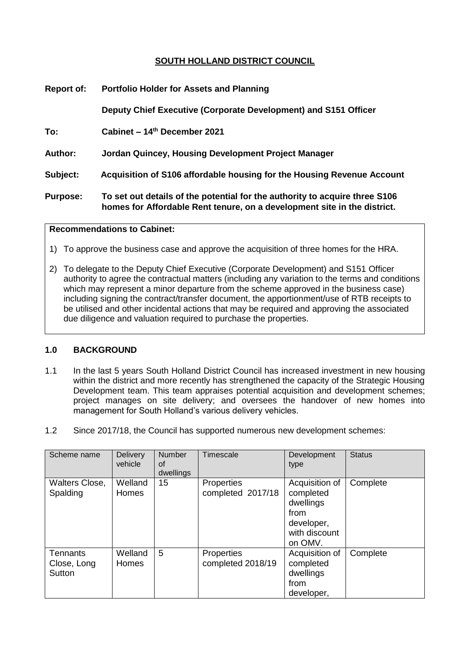## **SOUTH HOLLAND DISTRICT COUNCIL**

| <b>Report of:</b> | <b>Portfolio Holder for Assets and Planning</b>                                                                                                         |  |  |  |
|-------------------|---------------------------------------------------------------------------------------------------------------------------------------------------------|--|--|--|
|                   | Deputy Chief Executive (Corporate Development) and S151 Officer                                                                                         |  |  |  |
| To:               | Cabinet – 14 <sup>th</sup> December 2021                                                                                                                |  |  |  |
| Author:           | Jordan Quincey, Housing Development Project Manager                                                                                                     |  |  |  |
| Subject:          | Acquisition of S106 affordable housing for the Housing Revenue Account                                                                                  |  |  |  |
| <b>Purpose:</b>   | To set out details of the potential for the authority to acquire three S106<br>homes for Affordable Rent tenure, on a development site in the district. |  |  |  |

#### **Recommendations to Cabinet:**

- 1) To approve the business case and approve the acquisition of three homes for the HRA.
- 2) To delegate to the Deputy Chief Executive (Corporate Development) and S151 Officer authority to agree the contractual matters (including any variation to the terms and conditions which may represent a minor departure from the scheme approved in the business case) including signing the contract/transfer document, the apportionment/use of RTB receipts to be utilised and other incidental actions that may be required and approving the associated due diligence and valuation required to purchase the properties.

### **1.0 BACKGROUND**

- 1.1 In the last 5 years South Holland District Council has increased investment in new housing within the district and more recently has strengthened the capacity of the Strategic Housing Development team. This team appraises potential acquisition and development schemes; project manages on site delivery; and oversees the handover of new homes into management for South Holland's various delivery vehicles.
- 1.2 Since 2017/18, the Council has supported numerous new development schemes:

| Scheme name                              | Delivery<br>vehicle | <b>Number</b><br>οt<br>dwellings | Timescale                              | Development<br>type                                                                        | <b>Status</b> |
|------------------------------------------|---------------------|----------------------------------|----------------------------------------|--------------------------------------------------------------------------------------------|---------------|
| Walters Close,<br>Spalding               | Welland<br>Homes    | 15                               | <b>Properties</b><br>completed 2017/18 | Acquisition of<br>completed<br>dwellings<br>from<br>developer,<br>with discount<br>on OMV. | Complete      |
| <b>Tennants</b><br>Close, Long<br>Sutton | Welland<br>Homes    | 5                                | Properties<br>completed 2018/19        | Acquisition of<br>completed<br>dwellings<br>from<br>developer,                             | Complete      |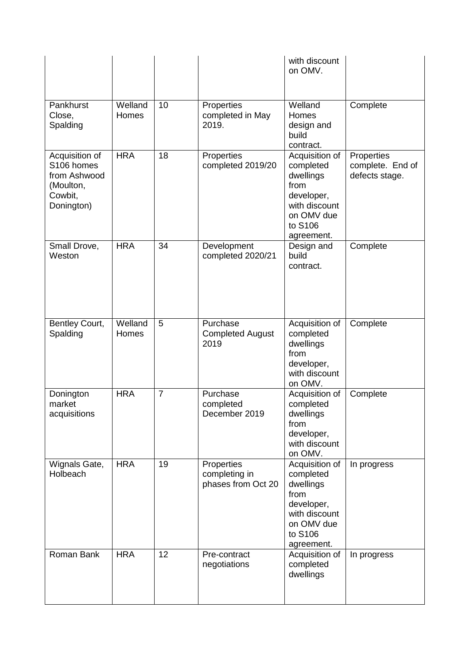|                                                                                    |                  |                |                                                   | with discount<br>on OMV.                                                                                               |                                                  |
|------------------------------------------------------------------------------------|------------------|----------------|---------------------------------------------------|------------------------------------------------------------------------------------------------------------------------|--------------------------------------------------|
| Pankhurst<br>Close,<br>Spalding                                                    | Welland<br>Homes | 10             | Properties<br>completed in May<br>2019.           | Welland<br>Homes<br>design and<br>build<br>contract.                                                                   | Complete                                         |
| Acquisition of<br>S106 homes<br>from Ashwood<br>(Moulton,<br>Cowbit,<br>Donington) | <b>HRA</b>       | 18             | Properties<br>completed 2019/20                   | Acquisition of<br>completed<br>dwellings<br>from<br>developer,<br>with discount<br>on OMV due<br>to S106<br>agreement. | Properties<br>complete. End of<br>defects stage. |
| Small Drove,<br>Weston                                                             | <b>HRA</b>       | 34             | Development<br>completed 2020/21                  | Design and<br>build<br>contract.                                                                                       | Complete                                         |
| Bentley Court,<br>Spalding                                                         | Welland<br>Homes | 5              | Purchase<br><b>Completed August</b><br>2019       | Acquisition of<br>completed<br>dwellings<br>from<br>developer,<br>with discount<br>on OMV.                             | Complete                                         |
| Donington<br>market<br>acquisitions                                                | <b>HRA</b>       | $\overline{7}$ | Purchase<br>completed<br>December 2019            | Acquisition of<br>completed<br>dwellings<br>from<br>developer,<br>with discount<br>on OMV.                             | Complete                                         |
| Wignals Gate,<br>Holbeach                                                          | <b>HRA</b>       | 19             | Properties<br>completing in<br>phases from Oct 20 | Acquisition of<br>completed<br>dwellings<br>from<br>developer,<br>with discount<br>on OMV due<br>to S106<br>agreement. | In progress                                      |
| Roman Bank                                                                         | <b>HRA</b>       | 12             | Pre-contract<br>negotiations                      | Acquisition of<br>completed<br>dwellings                                                                               | In progress                                      |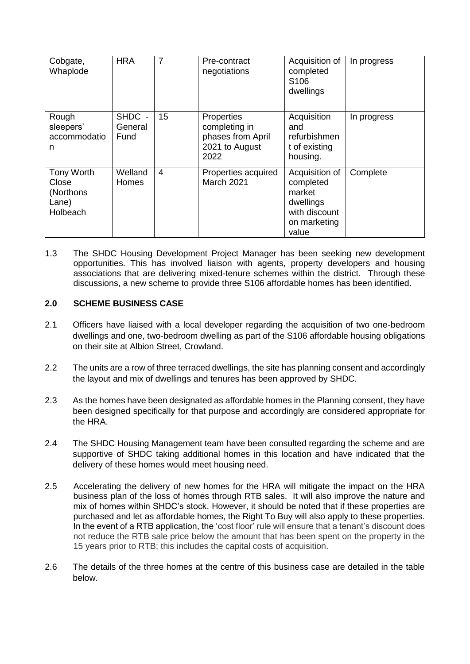| Cobgate,<br>Whaplode                                                 | <b>HRA</b>                | 7              | Pre-contract<br>negotiations                                               | Acquisition of<br>completed<br>S <sub>106</sub><br>dwellings                                 | In progress |
|----------------------------------------------------------------------|---------------------------|----------------|----------------------------------------------------------------------------|----------------------------------------------------------------------------------------------|-------------|
| Rough<br>sleepers'<br>accommodatio<br>n                              | SHDC -<br>General<br>Fund | 15             | Properties<br>completing in<br>phases from April<br>2021 to August<br>2022 | Acquisition<br>and<br>refurbishmen<br>t of existing<br>housing.                              | In progress |
| <b>Tony Worth</b><br>Close<br>(Northons)<br>Lane)<br><b>Holbeach</b> | Welland<br><b>Homes</b>   | $\overline{4}$ | Properties acquired<br><b>March 2021</b>                                   | Acquisition of<br>completed<br>market<br>dwellings<br>with discount<br>on marketing<br>value | Complete    |

1.3 The SHDC Housing Development Project Manager has been seeking new development opportunities. This has involved liaison with agents, property developers and housing associations that are delivering mixed-tenure schemes within the district. Through these discussions, a new scheme to provide three S106 affordable homes has been identified.

## **2.0 SCHEME BUSINESS CASE**

- 2.1 Officers have liaised with a local developer regarding the acquisition of two one-bedroom dwellings and one, two-bedroom dwelling as part of the S106 affordable housing obligations on their site at Albion Street, Crowland.
- 2.2 The units are a row of three terraced dwellings, the site has planning consent and accordingly the layout and mix of dwellings and tenures has been approved by SHDC.
- 2.3 As the homes have been designated as affordable homes in the Planning consent, they have been designed specifically for that purpose and accordingly are considered appropriate for the HRA.
- 2.4 The SHDC Housing Management team have been consulted regarding the scheme and are supportive of SHDC taking additional homes in this location and have indicated that the delivery of these homes would meet housing need.
- 2.5 Accelerating the delivery of new homes for the HRA will mitigate the impact on the HRA business plan of the loss of homes through RTB sales. It will also improve the nature and mix of homes within SHDC's stock. However, it should be noted that if these properties are purchased and let as affordable homes, the Right To Buy will also apply to these properties. In the event of a RTB application, the 'cost floor' rule will ensure that a tenant's discount does not reduce the RTB sale price below the amount that has been spent on the property in the 15 years prior to RTB; this includes the capital costs of acquisition.
- 2.6 The details of the three homes at the centre of this business case are detailed in the table below.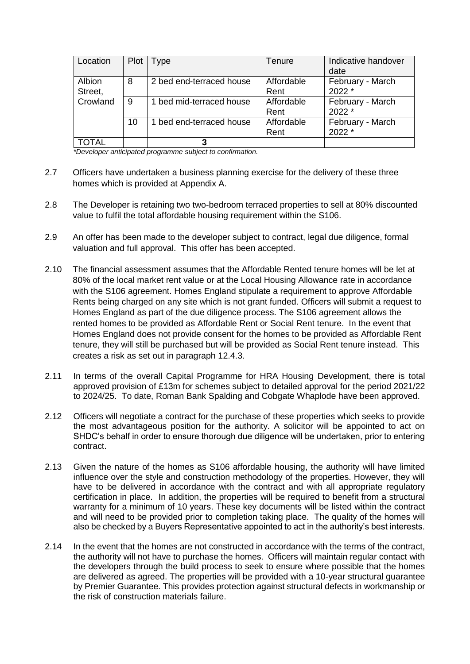| Location          | Plot | <b>Type</b>              | Tenure             | Indicative handover<br>date |
|-------------------|------|--------------------------|--------------------|-----------------------------|
| Albion<br>Street, | 8    | 2 bed end-terraced house | Affordable<br>Rent | February - March<br>$2022*$ |
| Crowland          | 9    | bed mid-terraced house   | Affordable<br>Rent | February - March<br>2022 *  |
|                   | 10   | 1 bed end-terraced house | Affordable<br>Rent | February - March<br>$2022*$ |
| TOTAL             |      |                          |                    |                             |

*\*Developer anticipated programme subject to confirmation.*

- 2.7 Officers have undertaken a business planning exercise for the delivery of these three homes which is provided at Appendix A.
- 2.8 The Developer is retaining two two-bedroom terraced properties to sell at 80% discounted value to fulfil the total affordable housing requirement within the S106.
- 2.9 An offer has been made to the developer subject to contract, legal due diligence, formal valuation and full approval. This offer has been accepted.
- 2.10 The financial assessment assumes that the Affordable Rented tenure homes will be let at 80% of the local market rent value or at the Local Housing Allowance rate in accordance with the S106 agreement. Homes England stipulate a requirement to approve Affordable Rents being charged on any site which is not grant funded. Officers will submit a request to Homes England as part of the due diligence process. The S106 agreement allows the rented homes to be provided as Affordable Rent or Social Rent tenure. In the event that Homes England does not provide consent for the homes to be provided as Affordable Rent tenure, they will still be purchased but will be provided as Social Rent tenure instead. This creates a risk as set out in paragraph 12.4.3.
- 2.11 In terms of the overall Capital Programme for HRA Housing Development, there is total approved provision of £13m for schemes subject to detailed approval for the period 2021/22 to 2024/25. To date, Roman Bank Spalding and Cobgate Whaplode have been approved.
- 2.12 Officers will negotiate a contract for the purchase of these properties which seeks to provide the most advantageous position for the authority. A solicitor will be appointed to act on SHDC's behalf in order to ensure thorough due diligence will be undertaken, prior to entering contract.
- 2.13 Given the nature of the homes as S106 affordable housing, the authority will have limited influence over the style and construction methodology of the properties. However, they will have to be delivered in accordance with the contract and with all appropriate regulatory certification in place. In addition, the properties will be required to benefit from a structural warranty for a minimum of 10 years. These key documents will be listed within the contract and will need to be provided prior to completion taking place. The quality of the homes will also be checked by a Buyers Representative appointed to act in the authority's best interests.
- 2.14 In the event that the homes are not constructed in accordance with the terms of the contract, the authority will not have to purchase the homes. Officers will maintain regular contact with the developers through the build process to seek to ensure where possible that the homes are delivered as agreed. The properties will be provided with a 10-year structural guarantee by Premier Guarantee. This provides protection against structural defects in workmanship or the risk of construction materials failure.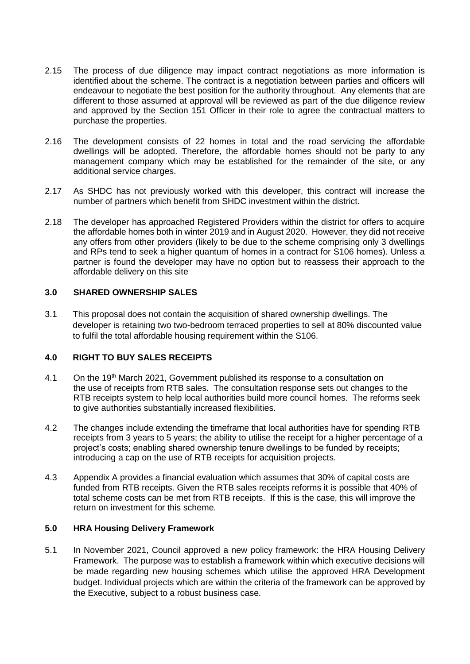- 2.15 The process of due diligence may impact contract negotiations as more information is identified about the scheme. The contract is a negotiation between parties and officers will endeavour to negotiate the best position for the authority throughout. Any elements that are different to those assumed at approval will be reviewed as part of the due diligence review and approved by the Section 151 Officer in their role to agree the contractual matters to purchase the properties.
- 2.16 The development consists of 22 homes in total and the road servicing the affordable dwellings will be adopted. Therefore, the affordable homes should not be party to any management company which may be established for the remainder of the site, or any additional service charges.
- 2.17 As SHDC has not previously worked with this developer, this contract will increase the number of partners which benefit from SHDC investment within the district.
- 2.18 The developer has approached Registered Providers within the district for offers to acquire the affordable homes both in winter 2019 and in August 2020. However, they did not receive any offers from other providers (likely to be due to the scheme comprising only 3 dwellings and RPs tend to seek a higher quantum of homes in a contract for S106 homes). Unless a partner is found the developer may have no option but to reassess their approach to the affordable delivery on this site

## **3.0 SHARED OWNERSHIP SALES**

3.1 This proposal does not contain the acquisition of shared ownership dwellings. The developer is retaining two two-bedroom terraced properties to sell at 80% discounted value to fulfil the total affordable housing requirement within the S106.

## **4.0 RIGHT TO BUY SALES RECEIPTS**

- 4.1 On the 19<sup>th</sup> March 2021, Government published its response to a consultation on the use of receipts from RTB sales. The consultation response sets out changes to the RTB receipts system to help local authorities build more council homes. The reforms seek to give authorities substantially increased flexibilities.
- 4.2 The changes include extending the timeframe that local authorities have for spending RTB receipts from 3 years to 5 years; the ability to utilise the receipt for a higher percentage of a project's costs; enabling shared ownership tenure dwellings to be funded by receipts; introducing a cap on the use of RTB receipts for acquisition projects.
- 4.3 Appendix A provides a financial evaluation which assumes that 30% of capital costs are funded from RTB receipts. Given the RTB sales receipts reforms it is possible that 40% of total scheme costs can be met from RTB receipts. If this is the case, this will improve the return on investment for this scheme.

### **5.0 HRA Housing Delivery Framework**

5.1 In November 2021, Council approved a new policy framework: the HRA Housing Delivery Framework. The purpose was to establish a framework within which executive decisions will be made regarding new housing schemes which utilise the approved HRA Development budget. Individual projects which are within the criteria of the framework can be approved by the Executive, subject to a robust business case.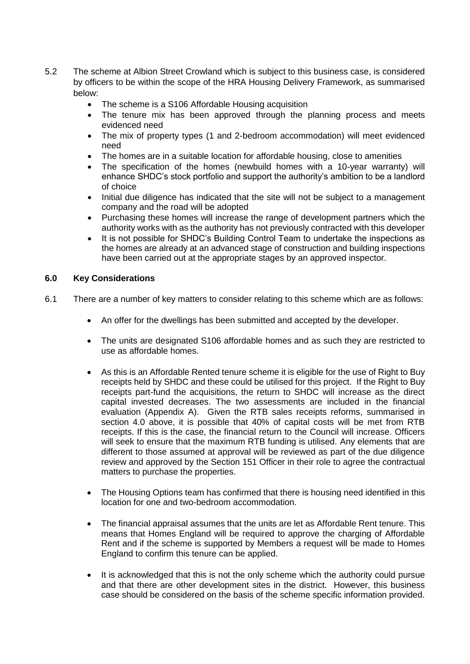- 5.2 The scheme at Albion Street Crowland which is subject to this business case, is considered by officers to be within the scope of the HRA Housing Delivery Framework, as summarised below:
	- The scheme is a S106 Affordable Housing acquisition
	- The tenure mix has been approved through the planning process and meets evidenced need
	- The mix of property types (1 and 2-bedroom accommodation) will meet evidenced need
	- The homes are in a suitable location for affordable housing, close to amenities
	- The specification of the homes (newbuild homes with a 10-year warranty) will enhance SHDC's stock portfolio and support the authority's ambition to be a landlord of choice
	- Initial due diligence has indicated that the site will not be subject to a management company and the road will be adopted
	- Purchasing these homes will increase the range of development partners which the authority works with as the authority has not previously contracted with this developer
	- It is not possible for SHDC's Building Control Team to undertake the inspections as the homes are already at an advanced stage of construction and building inspections have been carried out at the appropriate stages by an approved inspector.

### **6.0 Key Considerations**

- 6.1 There are a number of key matters to consider relating to this scheme which are as follows:
	- An offer for the dwellings has been submitted and accepted by the developer.
	- The units are designated S106 affordable homes and as such they are restricted to use as affordable homes.
	- As this is an Affordable Rented tenure scheme it is eligible for the use of Right to Buy receipts held by SHDC and these could be utilised for this project. If the Right to Buy receipts part-fund the acquisitions, the return to SHDC will increase as the direct capital invested decreases. The two assessments are included in the financial evaluation (Appendix A). Given the RTB sales receipts reforms, summarised in section 4.0 above, it is possible that 40% of capital costs will be met from RTB receipts. If this is the case, the financial return to the Council will increase. Officers will seek to ensure that the maximum RTB funding is utilised. Any elements that are different to those assumed at approval will be reviewed as part of the due diligence review and approved by the Section 151 Officer in their role to agree the contractual matters to purchase the properties.
	- The Housing Options team has confirmed that there is housing need identified in this location for one and two-bedroom accommodation.
	- The financial appraisal assumes that the units are let as Affordable Rent tenure. This means that Homes England will be required to approve the charging of Affordable Rent and if the scheme is supported by Members a request will be made to Homes England to confirm this tenure can be applied.
	- It is acknowledged that this is not the only scheme which the authority could pursue and that there are other development sites in the district. However, this business case should be considered on the basis of the scheme specific information provided.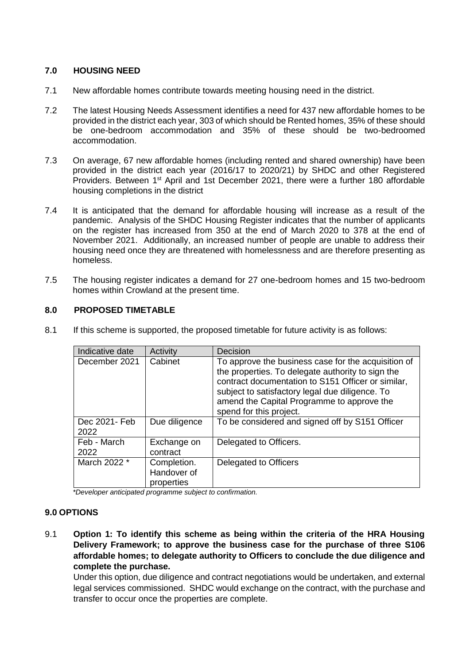# **7.0 HOUSING NEED**

- 7.1 New affordable homes contribute towards meeting housing need in the district.
- 7.2 The latest Housing Needs Assessment identifies a need for 437 new affordable homes to be provided in the district each year, 303 of which should be Rented homes, 35% of these should be one-bedroom accommodation and 35% of these should be two-bedroomed accommodation.
- 7.3 On average, 67 new affordable homes (including rented and shared ownership) have been provided in the district each year (2016/17 to 2020/21) by SHDC and other Registered Providers. Between 1st April and 1st December 2021, there were a further 180 affordable housing completions in the district
- 7.4 It is anticipated that the demand for affordable housing will increase as a result of the pandemic. Analysis of the SHDC Housing Register indicates that the number of applicants on the register has increased from 350 at the end of March 2020 to 378 at the end of November 2021. Additionally, an increased number of people are unable to address their housing need once they are threatened with homelessness and are therefore presenting as homeless.
- 7.5 The housing register indicates a demand for 27 one-bedroom homes and 15 two-bedroom homes within Crowland at the present time.

## **8.0 PROPOSED TIMETABLE**

|  | Indicative date       | Activity                                 | Decision                                                                                                                                                                                                                                                                                   |
|--|-----------------------|------------------------------------------|--------------------------------------------------------------------------------------------------------------------------------------------------------------------------------------------------------------------------------------------------------------------------------------------|
|  | December 2021         | Cabinet                                  | To approve the business case for the acquisition of<br>the properties. To delegate authority to sign the<br>contract documentation to S151 Officer or similar,<br>subject to satisfactory legal due diligence. To<br>amend the Capital Programme to approve the<br>spend for this project. |
|  | Dec 2021- Feb<br>2022 | Due diligence                            | To be considered and signed off by S151 Officer                                                                                                                                                                                                                                            |
|  | Feb - March<br>2022   | Exchange on<br>contract                  | Delegated to Officers.                                                                                                                                                                                                                                                                     |
|  | March 2022 *          | Completion.<br>Handover of<br>properties | Delegated to Officers                                                                                                                                                                                                                                                                      |

8.1 If this scheme is supported, the proposed timetable for future activity is as follows:

*\*Developer anticipated programme subject to confirmation.*

### **9.0 OPTIONS**

9.1 **Option 1: To identify this scheme as being within the criteria of the HRA Housing Delivery Framework; to approve the business case for the purchase of three S106 affordable homes; to delegate authority to Officers to conclude the due diligence and complete the purchase.**

Under this option, due diligence and contract negotiations would be undertaken, and external legal services commissioned. SHDC would exchange on the contract, with the purchase and transfer to occur once the properties are complete.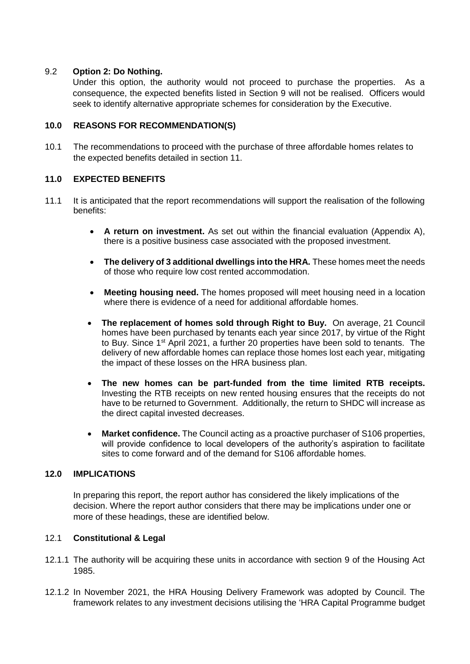### 9.2 **Option 2: Do Nothing.**

Under this option, the authority would not proceed to purchase the properties. As a consequence, the expected benefits listed in Section 9 will not be realised. Officers would seek to identify alternative appropriate schemes for consideration by the Executive.

### **10.0 REASONS FOR RECOMMENDATION(S)**

10.1 The recommendations to proceed with the purchase of three affordable homes relates to the expected benefits detailed in section 11.

## **11.0 EXPECTED BENEFITS**

- 11.1 It is anticipated that the report recommendations will support the realisation of the following benefits:
	- **A return on investment.** As set out within the financial evaluation (Appendix A), there is a positive business case associated with the proposed investment.
	- **The delivery of 3 additional dwellings into the HRA.** These homes meet the needs of those who require low cost rented accommodation.
	- **Meeting housing need.** The homes proposed will meet housing need in a location where there is evidence of a need for additional affordable homes.
	- **The replacement of homes sold through Right to Buy.** On average, 21 Council homes have been purchased by tenants each year since 2017, by virtue of the Right to Buy. Since 1<sup>st</sup> April 2021, a further 20 properties have been sold to tenants. The delivery of new affordable homes can replace those homes lost each year, mitigating the impact of these losses on the HRA business plan.
	- **The new homes can be part-funded from the time limited RTB receipts.**  Investing the RTB receipts on new rented housing ensures that the receipts do not have to be returned to Government. Additionally, the return to SHDC will increase as the direct capital invested decreases.
	- **Market confidence.** The Council acting as a proactive purchaser of S106 properties, will provide confidence to local developers of the authority's aspiration to facilitate sites to come forward and of the demand for S106 affordable homes.

### **12.0 IMPLICATIONS**

In preparing this report, the report author has considered the likely implications of the decision. Where the report author considers that there may be implications under one or more of these headings, these are identified below.

### 12.1 **Constitutional & Legal**

- 12.1.1 The authority will be acquiring these units in accordance with section 9 of the Housing Act 1985.
- 12.1.2 In November 2021, the HRA Housing Delivery Framework was adopted by Council. The framework relates to any investment decisions utilising the 'HRA Capital Programme budget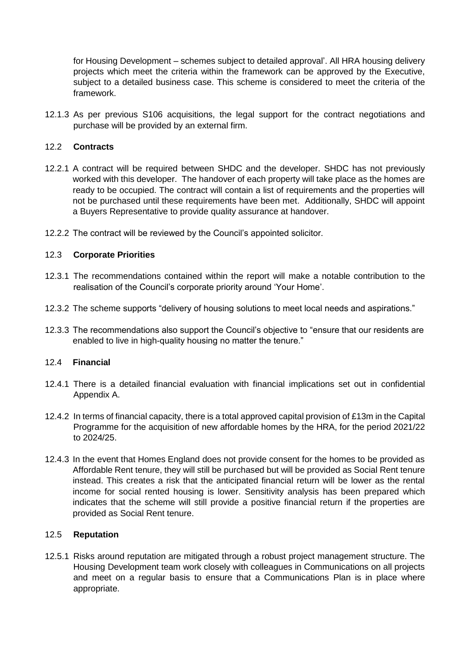for Housing Development – schemes subject to detailed approval'. All HRA housing delivery projects which meet the criteria within the framework can be approved by the Executive, subject to a detailed business case. This scheme is considered to meet the criteria of the framework.

12.1.3 As per previous S106 acquisitions, the legal support for the contract negotiations and purchase will be provided by an external firm.

### 12.2 **Contracts**

- 12.2.1 A contract will be required between SHDC and the developer. SHDC has not previously worked with this developer. The handover of each property will take place as the homes are ready to be occupied. The contract will contain a list of requirements and the properties will not be purchased until these requirements have been met. Additionally, SHDC will appoint a Buyers Representative to provide quality assurance at handover.
- 12.2.2 The contract will be reviewed by the Council's appointed solicitor.

### 12.3 **Corporate Priorities**

- 12.3.1 The recommendations contained within the report will make a notable contribution to the realisation of the Council's corporate priority around 'Your Home'.
- 12.3.2 The scheme supports "delivery of housing solutions to meet local needs and aspirations."
- 12.3.3 The recommendations also support the Council's objective to "ensure that our residents are enabled to live in high-quality housing no matter the tenure."

#### 12.4 **Financial**

- 12.4.1 There is a detailed financial evaluation with financial implications set out in confidential Appendix A.
- 12.4.2 In terms of financial capacity, there is a total approved capital provision of £13m in the Capital Programme for the acquisition of new affordable homes by the HRA, for the period 2021/22 to 2024/25.
- 12.4.3 In the event that Homes England does not provide consent for the homes to be provided as Affordable Rent tenure, they will still be purchased but will be provided as Social Rent tenure instead. This creates a risk that the anticipated financial return will be lower as the rental income for social rented housing is lower. Sensitivity analysis has been prepared which indicates that the scheme will still provide a positive financial return if the properties are provided as Social Rent tenure.

### 12.5 **Reputation**

12.5.1 Risks around reputation are mitigated through a robust project management structure. The Housing Development team work closely with colleagues in Communications on all projects and meet on a regular basis to ensure that a Communications Plan is in place where appropriate.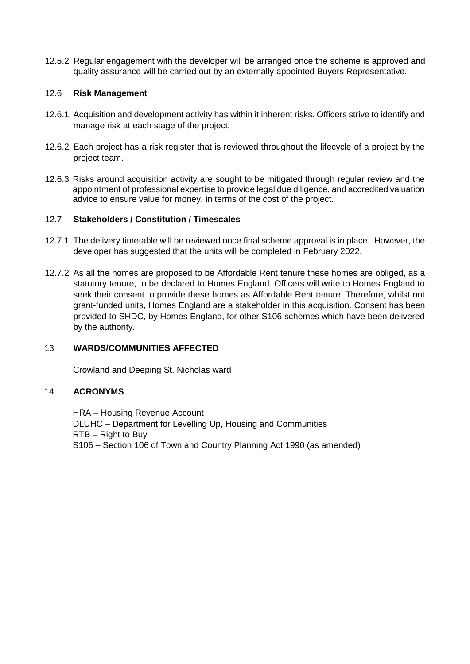12.5.2 Regular engagement with the developer will be arranged once the scheme is approved and quality assurance will be carried out by an externally appointed Buyers Representative.

#### 12.6 **Risk Management**

- 12.6.1 Acquisition and development activity has within it inherent risks. Officers strive to identify and manage risk at each stage of the project.
- 12.6.2 Each project has a risk register that is reviewed throughout the lifecycle of a project by the project team.
- 12.6.3 Risks around acquisition activity are sought to be mitigated through regular review and the appointment of professional expertise to provide legal due diligence, and accredited valuation advice to ensure value for money, in terms of the cost of the project.

### 12.7 **Stakeholders / Constitution / Timescales**

- 12.7.1 The delivery timetable will be reviewed once final scheme approval is in place. However, the developer has suggested that the units will be completed in February 2022.
- 12.7.2 As all the homes are proposed to be Affordable Rent tenure these homes are obliged, as a statutory tenure, to be declared to Homes England. Officers will write to Homes England to seek their consent to provide these homes as Affordable Rent tenure. Therefore, whilst not grant-funded units, Homes England are a stakeholder in this acquisition. Consent has been provided to SHDC, by Homes England, for other S106 schemes which have been delivered by the authority.

### 13 **WARDS/COMMUNITIES AFFECTED**

Crowland and Deeping St. Nicholas ward

#### 14 **ACRONYMS**

HRA – Housing Revenue Account DLUHC – Department for Levelling Up, Housing and Communities RTB – Right to Buy S106 – Section 106 of Town and Country Planning Act 1990 (as amended)